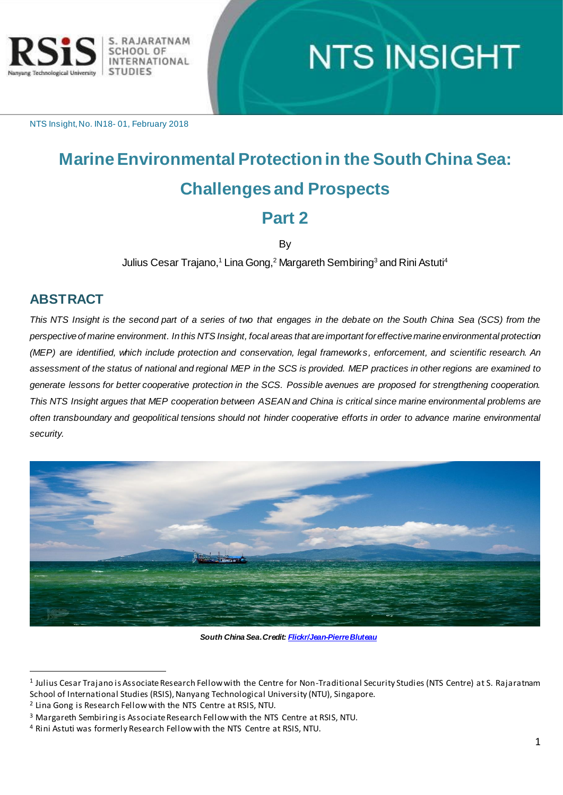

# **NTS INSIGHT**

NTS Insight, No. IN18- 01, February 2018

# **Marine Environmental Protection in the South China Sea: Challenges and Prospects Part 2**

By

Julius Cesar Trajano,<sup>1</sup> Lina Gong,<sup>2</sup> Margareth Sembiring<sup>3</sup> and Rini Astuti<sup>4</sup>

### **ABSTRACT**

 $\overline{a}$ 

*This NTS Insight is the second part of a series of two that engages in the debate on the South China Sea (SCS) from the perspective of marine environment. In this NTS Insight, focal areas that are important for effective marine environmental protection (MEP) are identified, which include protection and conservation, legal frameworks, enforcement, and scientific research. An assessment of the status of national and regional MEP in the SCS is provided. MEP practices in other regions are examined to generate lessons for better cooperative protection in the SCS. Possible avenues are proposed for strengthening cooperation. This NTS Insight argues that MEP cooperation between ASEAN and China is critical since marine environmental problems are often transboundary and geopolitical tensions should not hinder cooperative efforts in order to advance marine environmental security.*



*South China Sea***.** *Credi[t: Flickr/Jean-Pierre Bluteau](https://creativecommons.org/licenses/by-nc/2.0/)*

<sup>1</sup> Julius Cesar Trajano is Associate Research Fellow with the Centre for Non-Traditional Security Studies (NTS Centre) at S. Rajaratnam School of International Studies (RSIS), Nanyang Technological University (NTU), Singapore.

<sup>&</sup>lt;sup>2</sup> Lina Gong is Research Fellow with the NTS Centre at RSIS, NTU.

<sup>3</sup> Margareth Sembiring is Associate Research Fellow with the NTS Centre at RSIS, NTU.

<sup>4</sup> Rini Astuti was formerly Research Fellow with the NTS Centre at RSIS, NTU.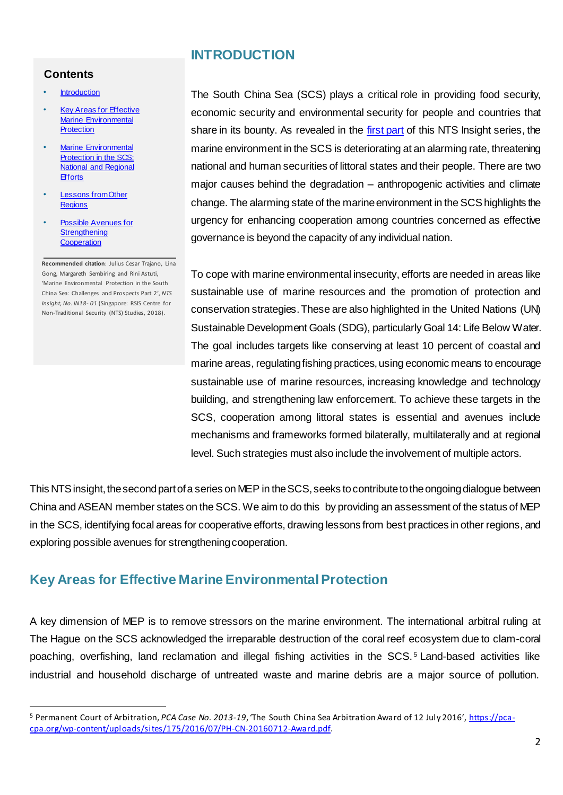#### <span id="page-1-0"></span>**Contents**

- **[Introduction](#page-1-0)**
- **Key Areas for Effective** [Marine Environmental](#page-1-1)  **[Protection](#page-1-1)**
- **Marine Environmental** [Protection in the SCS:](#page-3-0)  [National and Regional](#page-3-0)  **[Efforts](#page-3-0)**
- Lessons from Other **[Regions](#page-8-0)**
- **Possible Avenues for Strengthening [Cooperation](#page-12-0)**

 $\overline{a}$ 

**Recommended citation**: Julius Cesar Trajano, Lina Gong, Margareth Sembiring and Rini Astuti, 'Marine Environmental Protection in the South China Sea: Challenges and Prospects Part 2'*, NTS Insight, No. IN18- 01* (Singapore: RSIS Centre for Non-Traditional Security (NTS) Studies, 2018).

# **INTRODUCTION**

The South China Sea (SCS) plays a critical role in providing food security, economic security and environmental security for people and countries that share in its bounty. As revealed in the [first part](http://www.rsis.edu.sg/wp-content/uploads/2017/12/MEP-Insight-1_11-Dec-2017_final_TN.pdf) of this NTS Insight series, the marine environment in the SCS is deteriorating at an alarming rate, threatening national and human securities of littoral states and their people. There are two major causes behind the degradation – anthropogenic activities and climate change. The alarming state of the marine environment in the SCS highlights the urgency for enhancing cooperation among countries concerned as effective governance is beyond the capacity of any individual nation.

To cope with marine environmental insecurity, efforts are needed in areas like sustainable use of marine resources and the promotion of protection and conservation strategies. These are also highlighted in the United Nations (UN) Sustainable Development Goals (SDG), particularly Goal 14: Life Below Water. The goal includes targets like conserving at least 10 percent of coastal and marine areas, regulating fishing practices, using economic means to encourage sustainable use of marine resources, increasing knowledge and technology building, and strengthening law enforcement. To achieve these targets in the SCS, cooperation among littoral states is essential and avenues include mechanisms and frameworks formed bilaterally, multilaterally and at regional level. Such strategies must also include the involvement of multiple actors.

This NTS insight, the second part of a series on MEP in the SCS, seeks to contribute to the ongoing dialogue between China and ASEAN member states on the SCS. We aim to do this by providing an assessment of the status of MEP in the SCS, identifying focal areas for cooperative efforts, drawing lessons from best practices in other regions, and exploring possible avenues for strengthening cooperation.

# <span id="page-1-1"></span>**Key Areas for Effective Marine Environmental Protection**

A key dimension of MEP is to remove stressors on the marine environment. The international arbitral ruling at The Hague on the SCS acknowledged the irreparable destruction of the coral reef ecosystem due to clam-coral poaching, overfishing, land reclamation and illegal fishing activities in the SCS. <sup>5</sup> Land-based activities like industrial and household discharge of untreated waste and marine debris are a major source of pollution.

<sup>5</sup> Permanent Court of Arbitration, *PCA Case No. 2013-19*, 'The South China Sea Arbitration Award of 12 July 2016', [https://pca](https://pca-cpa.org/wp-content/uploads/sites/175/2016/07/PH-CN-20160712-Award.pdf)[cpa.org/wp-content/uploads/sites/175/2016/07/PH-CN-20160712-Award.pdf.](https://pca-cpa.org/wp-content/uploads/sites/175/2016/07/PH-CN-20160712-Award.pdf)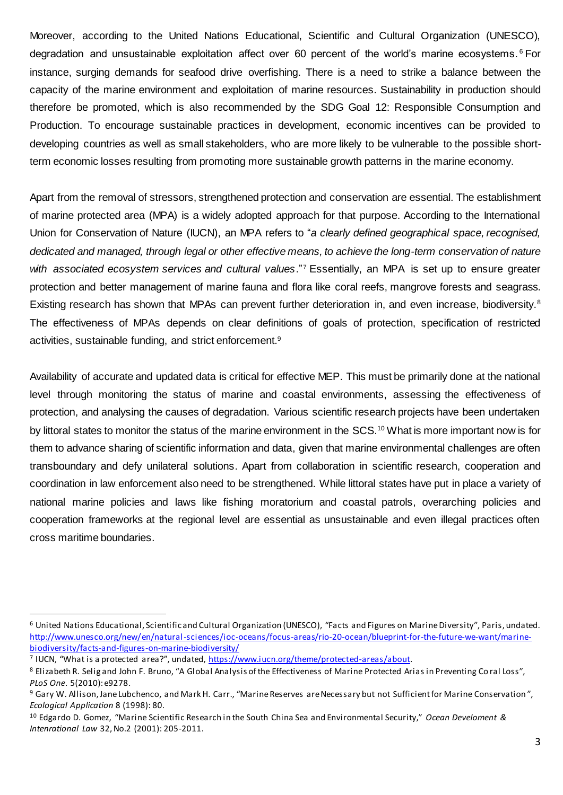Moreover, according to the United Nations Educational, Scientific and Cultural Organization (UNESCO), degradation and unsustainable exploitation affect over 60 percent of the world's marine ecosystems.<sup>6</sup> For instance, surging demands for seafood drive overfishing. There is a need to strike a balance between the capacity of the marine environment and exploitation of marine resources. Sustainability in production should therefore be promoted, which is also recommended by the SDG Goal 12: Responsible Consumption and Production. To encourage sustainable practices in development, economic incentives can be provided to developing countries as well as small stakeholders, who are more likely to be vulnerable to the possible shortterm economic losses resulting from promoting more sustainable growth patterns in the marine economy.

Apart from the removal of stressors, strengthened protection and conservation are essential. The establishment of marine protected area (MPA) is a widely adopted approach for that purpose. According to the International Union for Conservation of Nature (IUCN), an MPA refers to "*a clearly defined geographical space, recognised, dedicated and managed, through legal or other effective means, to achieve the long-term conservation of nature with associated ecosystem services and cultural values*."<sup>7</sup> Essentially, an MPA is set up to ensure greater protection and better management of marine fauna and flora like coral reefs, mangrove forests and seagrass. Existing research has shown that MPAs can prevent further deterioration in, and even increase, biodiversity.<sup>8</sup> The effectiveness of MPAs depends on clear definitions of goals of protection, specification of restricted activities, sustainable funding, and strict enforcement.<sup>9</sup>

Availability of accurate and updated data is critical for effective MEP. This must be primarily done at the national level through monitoring the status of marine and coastal environments, assessing the effectiveness of protection, and analysing the causes of degradation. Various scientific research projects have been undertaken by littoral states to monitor the status of the marine environment in the SCS.<sup>10</sup> What is more important now is for them to advance sharing of scientific information and data, given that marine environmental challenges are often transboundary and defy unilateral solutions. Apart from collaboration in scientific research, cooperation and coordination in law enforcement also need to be strengthened. While littoral states have put in place a variety of national marine policies and laws like fishing moratorium and coastal patrols, overarching policies and cooperation frameworks at the regional level are essential as unsustainable and even illegal practices often cross maritime boundaries.

<sup>6</sup> United Nations Educational, Scientific and Cultural Organization (UNESCO), "Facts and Figures on Marine Diversity", Paris, undated. [http://www.unesco.org/new/en/natural-sciences/ioc-oceans/focus-areas/rio-20-ocean/blueprint-for-the-future-we-want/marine](http://www.unesco.org/new/en/natural-sciences/ioc-oceans/focus-areas/rio-20-ocean/blueprint-for-the-future-we-want/marine-biodiversity/facts-and-figures-on-marine-biodiversity/)[biodiversity/facts-and-figures-on-marine-biodiversity/](http://www.unesco.org/new/en/natural-sciences/ioc-oceans/focus-areas/rio-20-ocean/blueprint-for-the-future-we-want/marine-biodiversity/facts-and-figures-on-marine-biodiversity/)

<sup>&</sup>lt;sup>7</sup> IUCN, "What is a protected area?", undated, https://www.iucn.org/theme/protected-areas/about.

<sup>&</sup>lt;sup>8</sup> Elizabeth R. Selig and John F. Bruno, "A Global Analysis of the Effectiveness of Marine Protected Arias in Preventing Coral Loss", *[PLoS One](https://www.ncbi.nlm.nih.gov/pmc/articles/PMC2822846/)*. 5(2010): e9278.

<sup>&</sup>lt;sup>9</sup> Gary W. Allison, Jane Lubchenco, and Mark H. Carr., "Marine Reserves are Necessary but not Sufficient for Marine Conservation", *Ecological Application* 8 (1998): 80.

<sup>10</sup> Edgardo D. Gomez, "Marine Scientific Research in the South China Sea and Environmental Security," *Ocean Develoment & Intenrational Law* 32, No.2 (2001): 205-2011.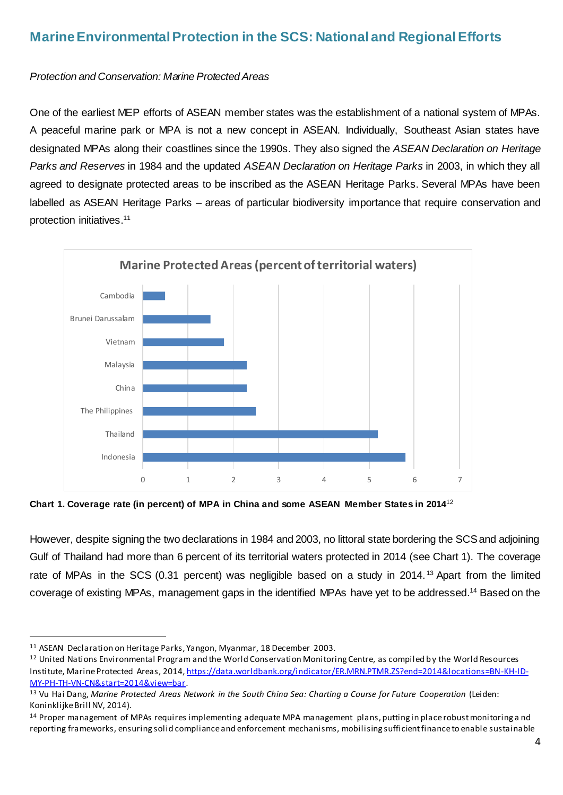# <span id="page-3-0"></span>**Marine Environmental Protection in the SCS: National and Regional Efforts**

#### *Protection and Conservation: Marine Protected Areas*

One of the earliest MEP efforts of ASEAN member states was the establishment of a national system of MPAs. A peaceful marine park or MPA is not a new concept in ASEAN. Individually, Southeast Asian states have designated MPAs along their coastlines since the 1990s. They also signed the *ASEAN Declaration on Heritage Parks and Reserves* in 1984 and the updated *ASEAN Declaration on Heritage Parks* in 2003, in which they all agreed to designate protected areas to be inscribed as the ASEAN Heritage Parks. Several MPAs have been labelled as ASEAN Heritage Parks – areas of particular biodiversity importance that require conservation and protection initiatives. 11



**Chart 1. Coverage rate (in percent) of MPA in China and some ASEAN Member States in 2014**<sup>12</sup>

However, despite signing the two declarations in 1984 and 2003, no littoral state bordering the SCS and adjoining Gulf of Thailand had more than 6 percent of its territorial waters protected in 2014 (see Chart 1). The coverage rate of MPAs in the SCS (0.31 percent) was negligible based on a study in 2014.<sup>13</sup> Apart from the limited coverage of existing MPAs, management gaps in the identified MPAs have yet to be addressed. <sup>14</sup> Based on the

<sup>&</sup>lt;sup>11</sup> ASEAN Declaration on Heritage Parks, Yangon, Myanmar, 18 December 2003.

 $12$  United Nations Environmental Program and the World Conservation Monitoring Centre, as compiled by the World Resources Institute, Marine Protected Areas, 2014[, https://data.worldbank.org/indicator/ER.MRN.PTMR.ZS?end=2014&locations=BN-KH-ID-](https://data.worldbank.org/indicator/ER.MRN.PTMR.ZS?end=2014&locations=BN-KH-ID-MY-PH-TH-VN-CN&start=2014&view=bar)[MY-PH-TH-VN-CN&start=2014&view=bar.](https://data.worldbank.org/indicator/ER.MRN.PTMR.ZS?end=2014&locations=BN-KH-ID-MY-PH-TH-VN-CN&start=2014&view=bar) 

<sup>&</sup>lt;sup>13</sup> Vu Hai Dang, Marine Protected Areas Network in the South China Sea: Charting a Course for Future Cooperation (Leiden: Koninklijke Brill NV, 2014).

<sup>&</sup>lt;sup>14</sup> Proper management of MPAs requires implementing adequate MPA management plans, putting in place robust monitoring a nd reporting frameworks, ensuring solid compliance and enforcement mechanisms, mobilising sufficient finance to enable sustainable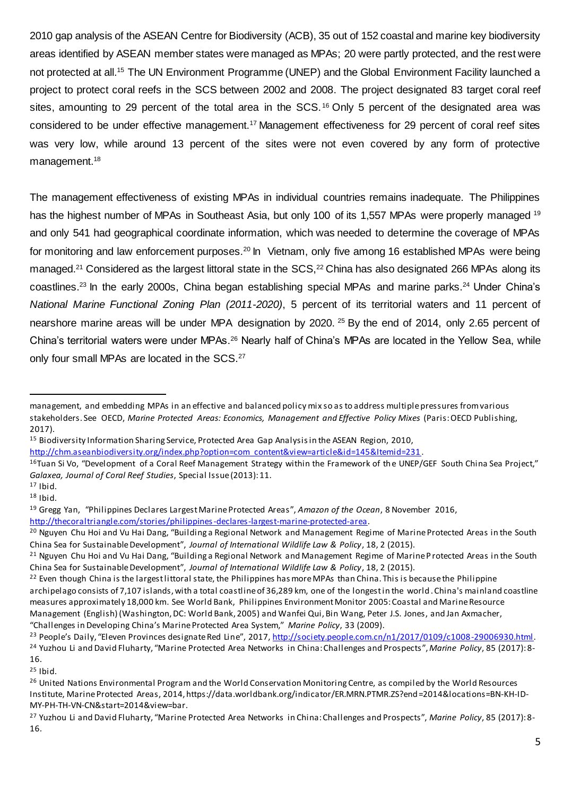2010 gap analysis of the ASEAN Centre for Biodiversity (ACB), 35 out of 152 coastal and marine key biodiversity areas identified by ASEAN member states were managed as MPAs; 20 were partly protected, and the rest were not protected at all.<sup>15</sup> The UN Environment Programme (UNEP) and the Global Environment Facility launched a project to protect coral reefs in the SCS between 2002 and 2008. The project designated 83 target coral reef sites, amounting to 29 percent of the total area in the SCS.<sup>16</sup> Only 5 percent of the designated area was considered to be under effective management.<sup>17</sup> Management effectiveness for 29 percent of coral reef sites was very low, while around 13 percent of the sites were not even covered by any form of protective management.<sup>18</sup>

The management effectiveness of existing MPAs in individual countries remains inadequate. The Philippines has the highest number of MPAs in Southeast Asia, but only 100 of its 1,557 MPAs were properly managed <sup>19</sup> and only 541 had geographical coordinate information, which was needed to determine the coverage of MPAs for monitoring and law enforcement purposes.<sup>20</sup> In Vietnam, only five among 16 established MPAs were being managed.<sup>21</sup> Considered as the largest littoral state in the SCS,<sup>22</sup> China has also designated 266 MPAs along its coastlines.<sup>23</sup> In the early 2000s, China began establishing special MPAs and marine parks.<sup>24</sup> Under China's *National Marine Functional Zoning Plan (2011-2020)*, 5 percent of its territorial waters and 11 percent of nearshore marine areas will be under MPA designation by 2020.<sup>25</sup> By the end of 2014, only 2.65 percent of China's territorial waters were under MPAs.<sup>26</sup> Nearly half of China's MPAs are located in the Yellow Sea, while only four small MPAs are located in the SCS.<sup>27</sup>

<sup>15</sup> Biodiversity Information Sharing Service, Protected Area Gap Analysis in the ASEAN Region, 2010,

<sup>-</sup>

 $25$  Ibid.

management, and embedding MPAs in an effective and balanced policy mix so as to address multiple pressures from various stakeholders. See OECD, *Marine Protected Areas: Economics, Management and Effective Policy Mixes* (Paris: OECD Publishing, 2017).

[http://chm.aseanbiodiversity.org/index.php?option=com\\_content&view=article&id=145&Itemid=231](http://chm.aseanbiodiversity.org/index.php?option=com_content&view=article&id=145&Itemid=231).

<sup>&</sup>lt;sup>16</sup>Tuan Si Vo, "Development of a Coral Reef Management Strategy within the Framework of the UNEP/GEF South China Sea Project," *Galaxea, Journal of Coral Reef Studies*, Special Issue (2013): 11.

 $17$  Ibid.

<sup>18</sup> Ibid.

<sup>19</sup> Gregg Yan, "Philippines Declares Largest Marine Protected Areas", *Amazon of the Ocean*, 8 November 2016, <http://thecoraltriangle.com/stories/philippines-declares-largest-marine-protected-area>.

<sup>&</sup>lt;sup>20</sup> Nguyen Chu Hoi and Vu Hai Dang, "Building a Regional Network and Management Regime of Marine Protected Areas in the South China Sea for Sustainable Development", *Journal of International Wildlife Law & Policy*, 18, 2 (2015).

<sup>&</sup>lt;sup>21</sup> Nguyen Chu Hoi and Vu Hai Dang, "Building a Regional Network and Management Regime of Marine Protected Areas in the South China Sea for Sustainable Development", *Journal of International Wildlife Law & Policy*, 18, 2 (2015).

 $22$  Even though China is the largest littoral state, the Philippines has more MPAs than China. This is because the Philippine archipelago consists of 7,107 islands, with a total coastline of 36,289 km, one of the longest in the world. China's mainland coastline measures approximately 18,000 km. See World Bank, Philippines Environment Monitor 2005: Coastal and Marine Resource Management (English) (Washington, DC: World Bank, 2005) and Wanfei Qui, Bin Wang, Peter J.S. Jones, and Jan Axmacher, "Challenges in Developing China's Marine Protected Area System," *Marine Policy*, 33 (2009).

<sup>&</sup>lt;sup>23</sup> People's Daily, "Eleven Provinces designate Red Line", 2017, <http://society.people.com.cn/n1/2017/0109/c1008-29006930.html>. <sup>24</sup> Yuzhou Li and David Fluharty, "Marine Protected Area Networks in China: Challenges and Prospects ",*Marine Policy*, 85 (2017): 8- 16.

<sup>&</sup>lt;sup>26</sup> United Nations Environmental Program and the World Conservation Monitoring Centre, as compiled by the World Resources Institute, Marine Protected Areas, 2014, https://data.worldbank.org/indicator/ER.MRN.PTMR.ZS?end=2014&locations=BN-KH-ID-MY-PH-TH-VN-CN&start=2014&view=bar.

<sup>27</sup> Yuzhou Li and David Fluharty, "Marine Protected Area Networks in China: Challenges and Prospects", *Marine Policy*, 85 (2017): 8- 16.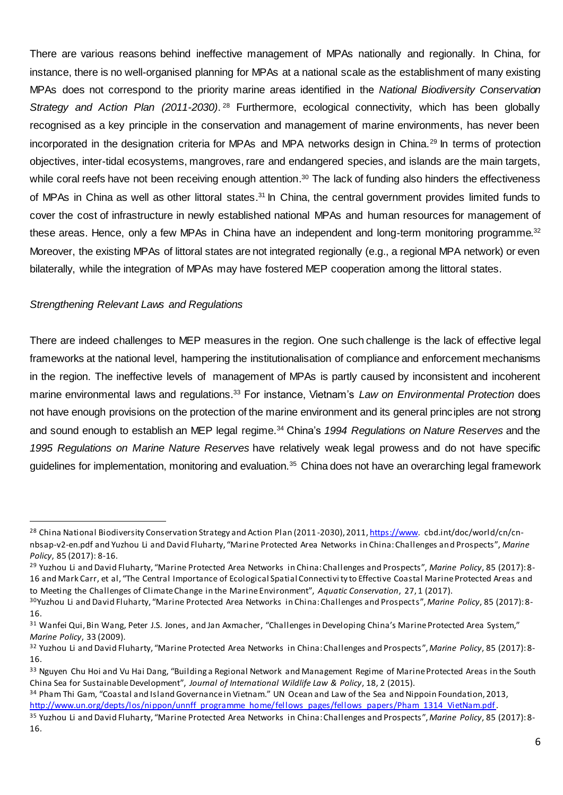There are various reasons behind ineffective management of MPAs nationally and regionally. In China, for instance, there is no well-organised planning for MPAs at a national scale as the establishment of many existing MPAs does not correspond to the priority marine areas identified in the *National Biodiversity Conservation*  Strategy and Action Plan (2011-2030).<sup>28</sup> Furthermore, ecological connectivity, which has been globally recognised as a key principle in the conservation and management of marine environments, has never been incorporated in the designation criteria for MPAs and MPA networks design in China.<sup>29</sup> In terms of protection objectives, inter-tidal ecosystems, mangroves, rare and endangered species, and islands are the main targets, while coral reefs have not been receiving enough attention.<sup>30</sup> The lack of funding also hinders the effectiveness of MPAs in China as well as other littoral states.<sup>31</sup> In China, the central government provides limited funds to cover the cost of infrastructure in newly established national MPAs and human resources for management of these areas. Hence, only a few MPAs in China have an independent and long-term monitoring programme.<sup>32</sup> Moreover, the existing MPAs of littoral states are not integrated regionally (e.g., a regional MPA network) or even bilaterally, while the integration of MPAs may have fostered MEP cooperation among the littoral states.

#### *Strengthening Relevant Laws and Regulations*

l

There are indeed challenges to MEP measures in the region. One such challenge is the lack of effective legal frameworks at the national level, hampering the institutionalisation of compliance and enforcement mechanisms in the region. The ineffective levels of management of MPAs is partly caused by inconsistent and incoherent marine environmental laws and regulations.<sup>33</sup> For instance, Vietnam's *Law on Environmental Protection* does not have enough provisions on the protection of the marine environment and its general principles are not strong and sound enough to establish an MEP legal regime.<sup>34</sup> China's 1994 Regulations on Nature Reserves and the *1995 Regulations on Marine Nature Reserves* have relatively weak legal prowess and do not have specific guidelines for implementation, monitoring and evaluation.<sup>35</sup> China does not have an overarching legal framework

<sup>&</sup>lt;sup>28</sup> China National Biodiversity Conservation Strategy and Action Plan (2011-2030), 2011, https://www.cbd.int/doc/world/cn/cnnbsap-v2-en.pdf and Yuzhou Li and David Fluharty, "Marine Protected Area Networks in China: Challenges and Prospects", *Marine Policy*, 85 (2017): 8-16.

<sup>29</sup> Yuzhou Li and David Fluharty, "Marine Protected Area Networks in China: Challenges and Prospects", *Marine Policy*, 85 (2017): 8- 16 and Mark Carr, et al, "The Central Importance of Ecological Spatial Connectivi ty to Effective Coastal Marine Protected Areas and to Meeting the Challenges of Climate Change in the Marine Environment", *Aquatic Conservation*, 27, 1 (2017).

<sup>30</sup>Yuzhou Li and David Fluharty, "Marine Protected Area Networks in China: Challenges and Prospects", *Marine Policy*, 85 (2017): 8- 16.

<sup>&</sup>lt;sup>31</sup> Wanfei Qui, Bin Wang, Peter J.S. Jones, and Jan Axmacher, "Challenges in Developing China's Marine Protected Area System," *Marine Policy*, 33 (2009).

<sup>32</sup> Yuzhou Li and David Fluharty, "Marine Protected Area Networks in China: Challenges and Prospects ",*Marine Policy*, 85 (2017): 8- 16.

<sup>&</sup>lt;sup>33</sup> Nguyen Chu Hoi and Vu Hai Dang, "Building a Regional Network and Management Regime of Marine Protected Areas in the South China Sea for Sustainable Development", *Journal of International Wildlife Law & Policy*, 18, 2 (2015).

<sup>&</sup>lt;sup>34</sup> Pham Thi Gam, "Coastal and Island Governance in Vietnam." UN Ocean and Law of the Sea and Nippoin Foundation, 2013, http://www.un.org/depts/los/nippon/unnff\_programme\_home/fellows\_pages/fellows\_papers/Pham\_1314\_VietNam.pdf.

<sup>35</sup> Yuzhou Li and David Fluharty, "Marine Protected Area Networks in China: Challenges and Prospects ",*Marine Policy*, 85 (2017):8- 16.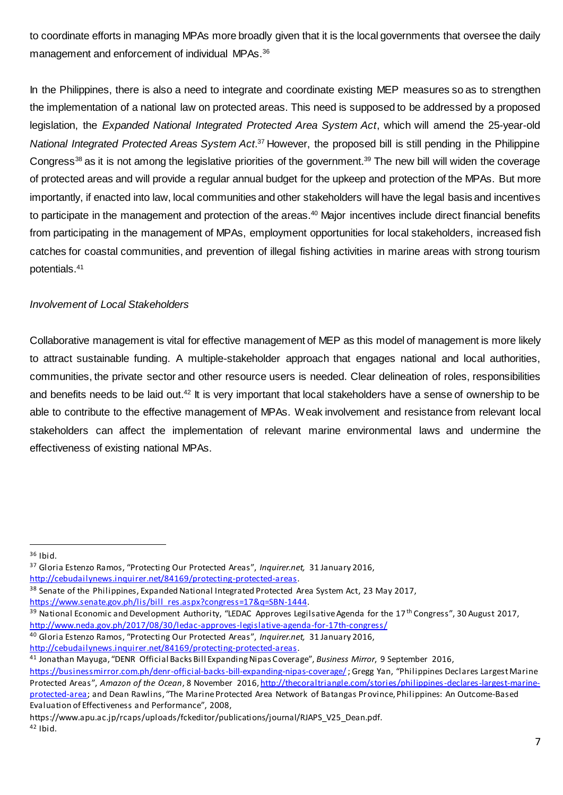to coordinate efforts in managing MPAs more broadly given that it is the local governments that oversee the daily management and enforcement of individual MPAs.<sup>36</sup>

In the Philippines, there is also a need to integrate and coordinate existing MEP measures so as to strengthen the implementation of a national law on protected areas. This need is supposed to be addressed by a proposed legislation, the *Expanded National Integrated Protected Area System Act*, which will amend the 25-year-old *National Integrated Protected Areas System Act*. <sup>37</sup> However, the proposed bill is still pending in the Philippine Congress<sup>38</sup> as it is not among the legislative priorities of the government.<sup>39</sup> The new bill will widen the coverage of protected areas and will provide a regular annual budget for the upkeep and protection of the MPAs. But more importantly, if enacted into law, local communities and other stakeholders will have the legal basis and incentives to participate in the management and protection of the areas. <sup>40</sup> Major incentives include direct financial benefits from participating in the management of MPAs, employment opportunities for local stakeholders, increased fish catches for coastal communities, and prevention of illegal fishing activities in marine areas with strong tourism potentials.<sup>41</sup>

#### *Involvement of Local Stakeholders*

Collaborative management is vital for effective management of MEP as this model of management is more likely to attract sustainable funding. A multiple-stakeholder approach that engages national and local authorities, communities, the private sector and other resource users is needed. Clear delineation of roles, responsibilities and benefits needs to be laid out.<sup>42</sup> It is very important that local stakeholders have a sense of ownership to be able to contribute to the effective management of MPAs. Weak involvement and resistance from relevant local stakeholders can affect the implementation of relevant marine environmental laws and undermine the effectiveness of existing national MPAs.

 $\overline{a}$ 

<sup>37</sup> Gloria Estenzo Ramos, "Protecting Our Protected Areas", *Inquirer.net,* 31 January 2016,

[http://cebudailynews.inquirer.net/84169/protecting-protected-areas.](http://cebudailynews.inquirer.net/84169/protecting-protected-areas)

<sup>38</sup> Senate of the Philippines, Expanded National Integrated Protected Area System Act, 23 May 2017,

[https://www.senate.gov.ph/lis/bill\\_res.aspx?congress=17&q=SBN-1444](https://www.senate.gov.ph/lis/bill_res.aspx?congress=17&q=SBN-1444).

<sup>39</sup> National Economic and Development Authority, "LEDAC Approves Legilsative Agenda for the 17<sup>th</sup> Congress", 30 August 2017, <http://www.neda.gov.ph/2017/08/30/ledac-approves-legislative-agenda-for-17th-congress/>

[http://cebudailynews.inquirer.net/84169/protecting-protected-areas.](http://cebudailynews.inquirer.net/84169/protecting-protected-areas)

https://www.apu.ac.jp/rcaps/uploads/fckeditor/publications/journal/RJAPS\_V25\_Dean.pdf. <sup>42</sup> Ibid.

<sup>36</sup> Ibid.

<sup>40</sup> Gloria Estenzo Ramos, "Protecting Our Protected Areas", *Inquirer.net,* 31 January 2016,

<sup>41</sup> Jonathan Mayuga, "DENR Official Backs Bill Expanding Nipas Coverage", *Business Mirror*, 9 September 2016,

<https://businessmirror.com.ph/denr-official-backs-bill-expanding-nipas-coverage/>; Gregg Yan, "Philippines Declares Largest Marine Protected Areas", *Amazon of the Ocean*, 8 November 2016[, http://thecoraltriangle.com/stories/philippines-declares-largest-marine](http://thecoraltriangle.com/stories/philippines-declares-largest-marine-protected-area)[protected-area;](http://thecoraltriangle.com/stories/philippines-declares-largest-marine-protected-area) and Dean Rawlins, "The Marine Protected Area Network of Batangas Province, Philippines: An Outcome-Based Evaluation of Effectiveness and Performance", 2008,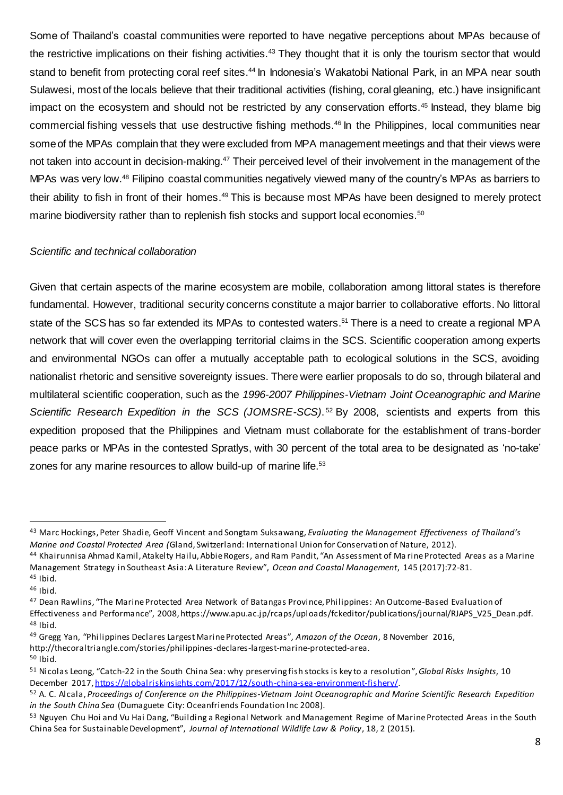Some of Thailand's coastal communities were reported to have negative perceptions about MPAs because of the restrictive implications on their fishing activities.<sup>43</sup> They thought that it is only the tourism sector that would stand to benefit from protecting coral reef sites.<sup>44</sup> In Indonesia's Wakatobi National Park, in an MPA near south Sulawesi, most of the locals believe that their traditional activities (fishing, coral gleaning, etc.) have insignificant impact on the ecosystem and should not be restricted by any conservation efforts.<sup>45</sup> Instead, they blame big commercial fishing vessels that use destructive fishing methods.<sup>46</sup> In the Philippines, local communities near some of the MPAs complain that they were excluded from MPA management meetings and that their views were not taken into account in decision-making.<sup>47</sup> Their perceived level of their involvement in the management of the MPAs was very low.<sup>48</sup> Filipino coastal communities negatively viewed many of the country's MPAs as barriers to their ability to fish in front of their homes.<sup>49</sup> This is because most MPAs have been designed to merely protect marine biodiversity rather than to replenish fish stocks and support local economies.<sup>50</sup>

#### *Scientific and technical collaboration*

Given that certain aspects of the marine ecosystem are mobile, collaboration among littoral states is therefore fundamental. However, traditional security concerns constitute a major barrier to collaborative efforts. No littoral state of the SCS has so far extended its MPAs to contested waters.<sup>51</sup> There is a need to create a regional MPA network that will cover even the overlapping territorial claims in the SCS. Scientific cooperation among experts and environmental NGOs can offer a mutually acceptable path to ecological solutions in the SCS, avoiding nationalist rhetoric and sensitive sovereignty issues. There were earlier proposals to do so, through bilateral and multilateral scientific cooperation, such as the *1996-2007 Philippines-Vietnam Joint Oceanographic and Marine*  Scientific Research Expedition in the SCS (JOMSRE-SCS).<sup>52</sup> By 2008, scientists and experts from this expedition proposed that the Philippines and Vietnam must collaborate for the establishment of trans-border peace parks or MPAs in the contested Spratlys, with 30 percent of the total area to be designated as 'no-take' zones for any marine resources to allow build-up of marine life.<sup>53</sup>

l

<sup>49</sup> Gregg Yan, "Philippines Declares Largest Marine Protected Areas", *Amazon of the Ocean*, 8 November 2016, http://thecoraltriangle.com/stories/philippines-declares-largest-marine-protected-area.

 $50$  Ibid.

<sup>43</sup> Marc Hockings, Peter Shadie, Geoff Vincent and Songtam Suksawang*, Evaluating the Management Effectiveness of Thailand's Marine and Coastal Protected Area (*Gland, Switzerland: International Union for Conservation of Nature, 2012).

<sup>44</sup> Khairunnisa Ahmad Kamil, Atakelty Hailu, Abbie Rogers, and Ram Pandit, "An Assessment of Ma rine Protected Areas as a Marine Management Strategy in Southeast Asia: A Literature Review", *Ocean and Coastal Management*, 145 (2017):72-81.  $45$  Ibid.

<sup>46</sup> Ibid.

<sup>&</sup>lt;sup>47</sup> Dean Rawlins, "The Marine Protected Area Network of Batangas Province, Philippines: An Outcome-Based Evaluation of Effectiveness and Performance", 2008, https://www.apu.ac.jp/rcaps/uploads/fckeditor/publications/journal/RJAPS\_V25\_Dean.pdf.  $48$  Ibid.

<sup>51</sup> Nicolas Leong, "Catch-22 in the South China Sea: why preserving fish stocks is key to a resolution", *Global Risks Insights*, 10 December 2017[, https://globalriskinsights.com/2017/12/south-china-sea-environment-fishery/](https://globalriskinsights.com/2017/12/south-china-sea-environment-fishery/).

<sup>52</sup> A. C. Alcala, *Proceedings of Conference on the Philippines-Vietnam Joint Oceanographic and Marine Scientific Research Expedition in the South China Sea* (Dumaguete City: Oceanfriends Foundation Inc 2008).

<sup>53</sup> Nguyen Chu Hoi and Vu Hai Dang, "Building a Regional Network and Management Regime of Marine Protected Areas in the South China Sea for Sustainable Development", *Journal of International Wildlife Law & Policy*, 18, 2 (2015).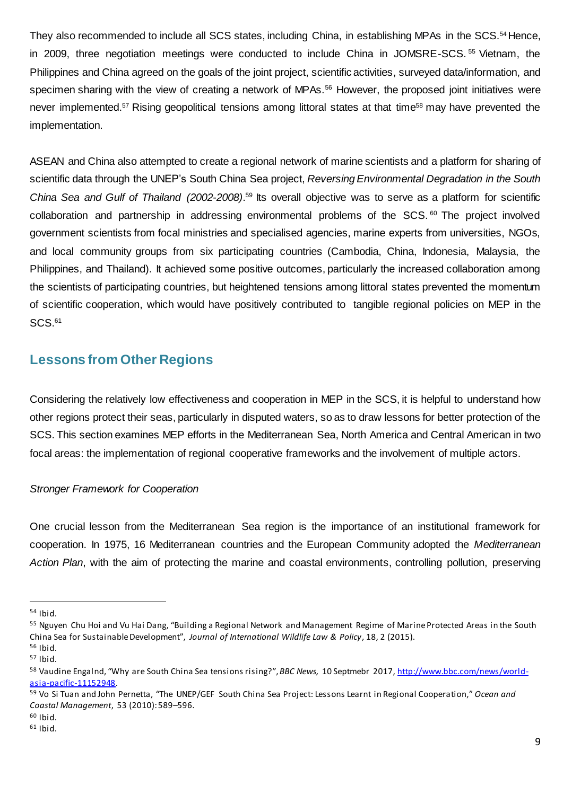They also recommended to include all SCS states, including China, in establishing MPAs in the SCS.<sup>54</sup> Hence, in 2009, three negotiation meetings were conducted to include China in JOMSRE-SCS. <sup>55</sup> Vietnam, the Philippines and China agreed on the goals of the joint project, scientific activities, surveyed data/information, and specimen sharing with the view of creating a network of MPAs.<sup>56</sup> However, the proposed joint initiatives were never implemented.<sup>57</sup> Rising geopolitical tensions among littoral states at that time<sup>58</sup> may have prevented the implementation.

ASEAN and China also attempted to create a regional network of marine scientists and a platform for sharing of scientific data through the UNEP's South China Sea project, *Reversing Environmental Degradation in the South* China Sea and Gulf of Thailand (2002-2008).<sup>59</sup> Its overall objective was to serve as a platform for scientific collaboration and partnership in addressing environmental problems of the SCS.<sup>60</sup> The project involved government scientists from focal ministries and specialised agencies, marine experts from universities, NGOs, and local community groups from six participating countries (Cambodia, China, Indonesia, Malaysia, the Philippines, and Thailand). It achieved some positive outcomes, particularly the increased collaboration among the scientists of participating countries, but heightened tensions among littoral states prevented the momentum of scientific cooperation, which would have positively contributed to tangible regional policies on MEP in the  $SCS.<sup>61</sup>$ 

## <span id="page-8-0"></span>**Lessons from Other Regions**

Considering the relatively low effectiveness and cooperation in MEP in the SCS, it is helpful to understand how other regions protect their seas, particularly in disputed waters, so as to draw lessons for better protection of the SCS. This section examines MEP efforts in the Mediterranean Sea, North America and Central American in two focal areas: the implementation of regional cooperative frameworks and the involvement of multiple actors.

#### *Stronger Framework for Cooperation*

One crucial lesson from the Mediterranean Sea region is the importance of an institutional framework for cooperation. In 1975, 16 Mediterranean countries and the European Community adopted the *Mediterranean Action Plan*, with the aim of protecting the marine and coastal environments, controlling pollution, preserving

<sup>54</sup> Ibid.

<sup>&</sup>lt;sup>55</sup> Nguyen Chu Hoi and Vu Hai Dang, "Building a Regional Network and Management Regime of Marine Protected Areas in the South China Sea for Sustainable Development", *Journal of International Wildlife Law & Policy*, 18, 2 (2015). <sup>56</sup> Ibid.

 $57$  Ibid.

<sup>58</sup> Vaudine Engalnd, "Why are South China Sea tensions rising?", *BBC News,* 10 Septmebr 2017[, http://www.bbc.com/news/world](http://www.bbc.com/news/world-asia-pacific-11152948)[asia-pacific-11152948](http://www.bbc.com/news/world-asia-pacific-11152948).

<sup>59</sup> Vo Si Tuan and John Pernetta, "The UNEP/GEF South China Sea Project: Lessons Learnt in Regional Cooperation," *Ocean and Coastal Management*, 53 (2010): 589–596.

<sup>60</sup> Ibid.

 $61$  Ibid.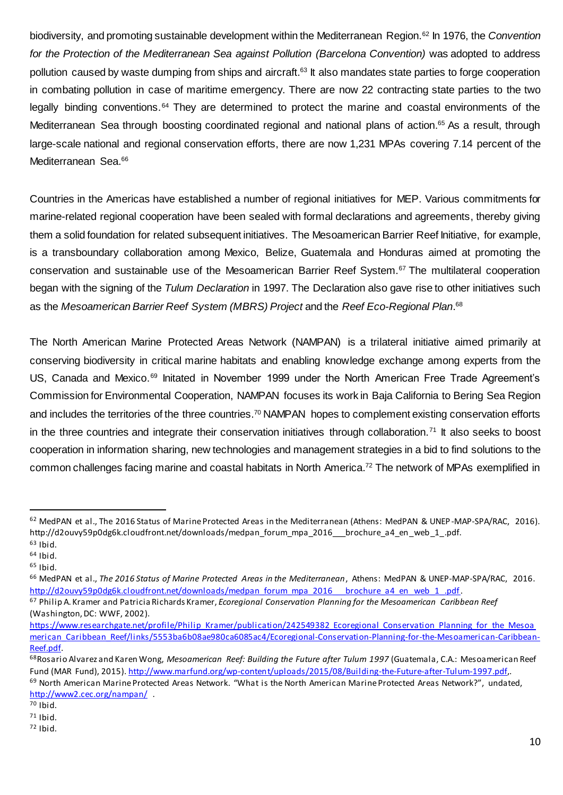biodiversity, and promoting sustainable development within the Mediterranean Region.<sup>62</sup> In 1976, the *Convention for the Protection of the Mediterranean Sea against Pollution (Barcelona Convention)* was adopted to address pollution caused by waste dumping from ships and aircraft.<sup>63</sup> It also mandates state parties to forge cooperation in combating pollution in case of maritime emergency. There are now 22 contracting state parties to the two legally binding conventions.<sup>64</sup> They are determined to protect the marine and coastal environments of the Mediterranean Sea through boosting coordinated regional and national plans of action. <sup>65</sup> As a result, through large-scale national and regional conservation efforts, there are now 1,231 MPAs covering 7.14 percent of the Mediterranean Sea.<sup>66</sup>

Countries in the Americas have established a number of regional initiatives for MEP. Various commitments for marine-related regional cooperation have been sealed with formal declarations and agreements, thereby giving them a solid foundation for related subsequent initiatives. The Mesoamerican Barrier Reef Initiative, for example, is a transboundary collaboration among Mexico, Belize, Guatemala and Honduras aimed at promoting the conservation and sustainable use of the Mesoamerican Barrier Reef System.<sup>67</sup> The multilateral cooperation began with the signing of the *Tulum Declaration* in 1997. The Declaration also gave rise to other initiatives such as the *Mesoamerican Barrier Reef System (MBRS) Project* and the *Reef Eco-Regional Plan*. 68

The North American Marine Protected Areas Network (NAMPAN) is a trilateral initiative aimed primarily at conserving biodiversity in critical marine habitats and enabling knowledge exchange among experts from the US, Canada and Mexico.<sup>69</sup> Initated in November 1999 under the North American Free Trade Agreement's Commission for Environmental Cooperation, NAMPAN focuses its work in Baja California to Bering Sea Region and includes the territories of the three countries.<sup>70</sup> NAMPAN hopes to complement existing conservation efforts in the three countries and integrate their conservation initiatives through collaboration.<sup>71</sup> It also seeks to boost cooperation in information sharing, new technologies and management strategies in a bid to find solutions to the common challenges facing marine and coastal habitats in North America. <sup>72</sup> The network of MPAs exemplified in

<sup>&</sup>lt;sup>62</sup> MedPAN et al., The 2016 Status of Marine Protected Areas in the Mediterranean (Athens: MedPAN & UNEP-MAP-SPA/RAC, 2016). http://d2ouvy59p0dg6k.cloudfront.net/downloads/medpan\_forum\_mpa\_2016\_\_\_brochure\_a4\_en\_web\_1\_.pdf. <sup>63</sup> Ibid.

 $64$  Ibid.

 $65$  Ibid.

<sup>66</sup> MedPAN et al., *The 2016 Status of Marine Protected Areas in the Mediterranean*, Athens: MedPAN & UNEP-MAP-SPA/RAC, 2016. http://d2ouvy59p0dg6k.cloudfront.net/downloads/medpan\_forum\_mpa\_2016\_\_\_brochure\_a4\_en\_web\_1\_.pdf.

<sup>67</sup> Philip A. Kramer and Patricia Richards Kramer, *Ecoregional Conservation Planning for the Mesoamerican Caribbean Reef* (Washington, DC: WWF, 2002).

[https://www.researchgate.net/profile/Philip\\_Kramer/publication/242549382\\_Ecoregional\\_Conservation\\_Planning\\_for\\_the\\_Mesoa](https://www.researchgate.net/profile/Philip_Kramer/publication/242549382_Ecoregional_Conservation_Planning_for_the_Mesoamerican_Caribbean_Reef/links/5553ba6b08ae980ca6085ac4/Ecoregional-Conservation-Planning-for-the-Mesoamerican-Caribbean-Reef.pdf) [merican\\_Caribbean\\_Reef/links/5553ba6b08ae980ca6085ac4/Ecoregional-Conservation-Planning-for-the-Mesoamerican-Caribbean-](https://www.researchgate.net/profile/Philip_Kramer/publication/242549382_Ecoregional_Conservation_Planning_for_the_Mesoamerican_Caribbean_Reef/links/5553ba6b08ae980ca6085ac4/Ecoregional-Conservation-Planning-for-the-Mesoamerican-Caribbean-Reef.pdf)[Reef.pdf.](https://www.researchgate.net/profile/Philip_Kramer/publication/242549382_Ecoregional_Conservation_Planning_for_the_Mesoamerican_Caribbean_Reef/links/5553ba6b08ae980ca6085ac4/Ecoregional-Conservation-Planning-for-the-Mesoamerican-Caribbean-Reef.pdf)

<sup>68</sup>Rosario Alvarez and Karen Wong, *Mesoamerican Reef: Building the Future after Tulum 1997* (Guatemala, C.A.: Mesoamerican Reef Fund (MAR Fund), 2015)[. http://www.marfund.org/wp-content/uploads/2015/08/Building-the-Future-after-Tulum-1997.pdf,](http://www.marfund.org/wp-content/uploads/2015/08/Building-the-Future-after-Tulum-1997.pdf). <sup>69</sup> North American Marine Protected Areas Network. "What is the North American Marine Protected Areas Network?", undated,

<http://www2.cec.org/nampan/> .

 $70$  Ibid.

<sup>71</sup> Ibid.

<sup>72</sup> Ibid.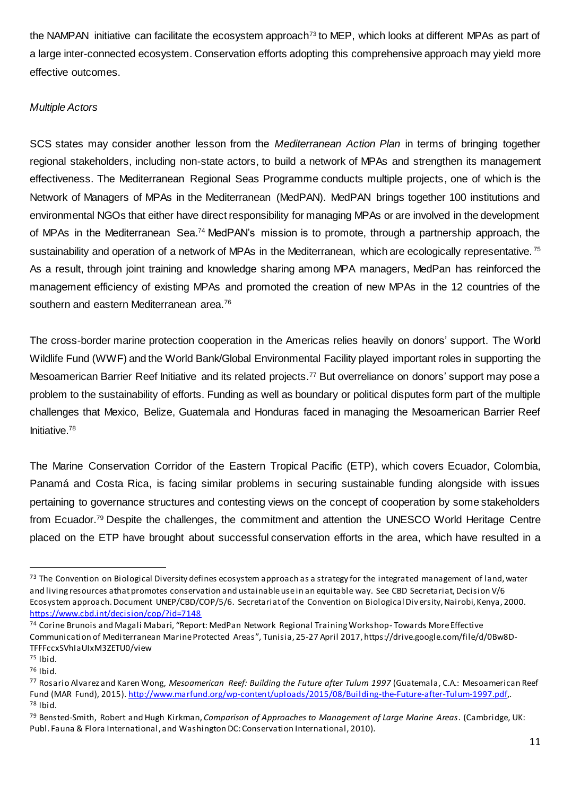the NAMPAN initiative can facilitate the ecosystem approach<sup>73</sup> to MEP, which looks at different MPAs as part of a large inter-connected ecosystem. Conservation efforts adopting this comprehensive approach may yield more effective outcomes.

#### *Multiple Actors*

SCS states may consider another lesson from the *Mediterranean Action Plan* in terms of bringing together regional stakeholders, including non-state actors, to build a network of MPAs and strengthen its management effectiveness. The Mediterranean Regional Seas Programme conducts multiple projects, one of which is the Network of Managers of MPAs in the Mediterranean (MedPAN). MedPAN brings together 100 institutions and environmental NGOs that either have direct responsibility for managing MPAs or are involved in the development of MPAs in the Mediterranean Sea.<sup>74</sup> MedPAN's mission is to promote, through a partnership approach, the sustainability and operation of a network of MPAs in the Mediterranean, which are ecologically representative.<sup>75</sup> As a result, through joint training and knowledge sharing among MPA managers, MedPan has reinforced the management efficiency of existing MPAs and promoted the creation of new MPAs in the 12 countries of the southern and eastern Mediterranean area.<sup>76</sup>

The cross-border marine protection cooperation in the Americas relies heavily on donors' support. The World Wildlife Fund (WWF) and the World Bank/Global Environmental Facility played important roles in supporting the Mesoamerican Barrier Reef Initiative and its related projects.<sup>77</sup> But overreliance on donors' support may pose a problem to the sustainability of efforts. Funding as well as boundary or political disputes form part of the multiple challenges that Mexico, Belize, Guatemala and Honduras faced in managing the Mesoamerican Barrier Reef Initiative.<sup>78</sup>

The Marine Conservation Corridor of the Eastern Tropical Pacific (ETP), which covers Ecuador, Colombia, Panamá and Costa Rica, is facing similar problems in securing sustainable funding alongside with issues pertaining to governance structures and contesting views on the concept of cooperation by some stakeholders from Ecuador.<sup>79</sup> Despite the challenges, the commitment and attention the UNESCO World Heritage Centre placed on the ETP have brought about successful conservation efforts in the area, which have resulted in a

<sup>-</sup>

<sup>&</sup>lt;sup>73</sup> The Convention on Biological Diversity defines ecosystem approach as a strategy for the integrated management of land, water and living resources athat promotes conservation and ustainable use in an equitable way. See CBD Secretariat, Decision V/6 Ecosystem approach. Document UNEP/CBD/COP/5/6. Secretariat of the Convention on Biological Diversity, Nairobi, Kenya, 2000. <https://www.cbd.int/decision/cop/?id=7148>

<sup>74</sup> Corine Brunois and Magali Mabari, "Report: MedPan Network Regional Training Workshop- Towards More Effective Communication of Mediterranean Marine Protected Areas ", Tunisia, 25-27 April 2017, https://drive.google.com/file/d/0Bw8D-TFFFccxSVhIaUIxM3ZETU0/view

<sup>75</sup> Ibid.

<sup>76</sup> Ibid.

<sup>77</sup> Rosario Alvarez and Karen Wong, *Mesoamerican Reef: Building the Future after Tulum 1997* (Guatemala, C.A.: Mesoamerican Reef Fund (MAR Fund), 2015)[. http://www.marfund.org/wp-content/uploads/2015/08/Building-the-Future-after-Tulum-1997.pdf,](http://www.marfund.org/wp-content/uploads/2015/08/Building-the-Future-after-Tulum-1997.pdf).  $78$  Ibid.

<sup>79</sup> Bensted-Smith, Robert and Hugh Kirkman, *Comparison of Approaches to Management of Large Marine Areas*. (Cambridge, UK: Publ. Fauna & Flora International, and Washington DC: Conservation International, 2010).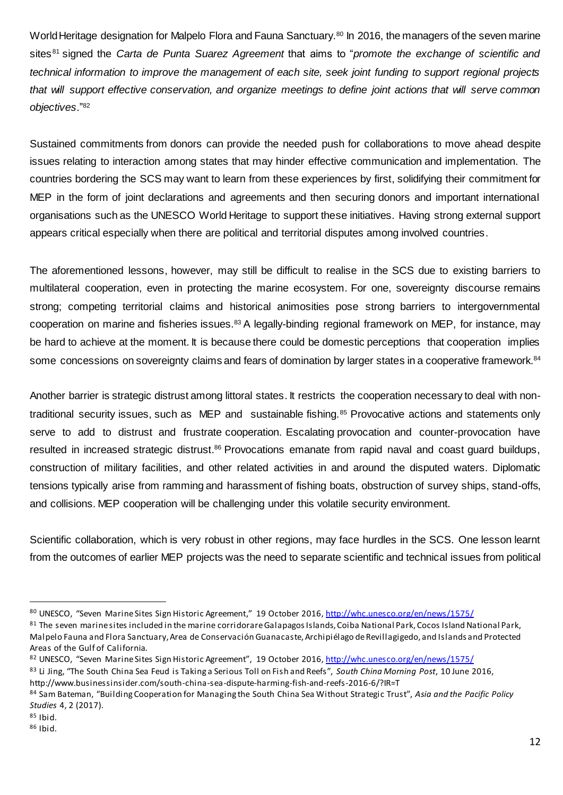World Heritage designation for Malpelo Flora and Fauna Sanctuary.<sup>80</sup> In 2016, the managers of the seven marine sites <sup>81</sup> signed the *Carta de Punta Suarez Agreement* that aims to "*promote the exchange of scientific and technical information to improve the management of each site, seek joint funding to support regional projects that will support effective conservation, and organize meetings to define joint actions that will serve common objectives*."<sup>82</sup>

Sustained commitments from donors can provide the needed push for collaborations to move ahead despite issues relating to interaction among states that may hinder effective communication and implementation. The countries bordering the SCS may want to learn from these experiences by first, solidifying their commitment for MEP in the form of joint declarations and agreements and then securing donors and important international organisations such as the UNESCO World Heritage to support these initiatives. Having strong external support appears critical especially when there are political and territorial disputes among involved countries.

The aforementioned lessons, however, may still be difficult to realise in the SCS due to existing barriers to multilateral cooperation, even in protecting the marine ecosystem. For one, sovereignty discourse remains strong; competing territorial claims and historical animosities pose strong barriers to intergovernmental cooperation on marine and fisheries issues.<sup>83</sup> A legally-binding regional framework on MEP, for instance, may be hard to achieve at the moment. It is because there could be domestic perceptions that cooperation implies some concessions on sovereignty claims and fears of domination by larger states in a cooperative framework.<sup>84</sup>

Another barrier is strategic distrust among littoral states. It restricts the cooperation necessary to deal with nontraditional security issues, such as MEP and sustainable fishing.<sup>85</sup> Provocative actions and statements only serve to add to distrust and frustrate cooperation. Escalating provocation and counter-provocation have resulted in increased strategic distrust.<sup>86</sup> Provocations emanate from rapid naval and coast guard buildups, construction of military facilities, and other related activities in and around the disputed waters. Diplomatic tensions typically arise from ramming and harassment of fishing boats, obstruction of survey ships, stand-offs, and collisions. MEP cooperation will be challenging under this volatile security environment.

Scientific collaboration, which is very robust in other regions, may face hurdles in the SCS. One lesson learnt from the outcomes of earlier MEP projects was the need to separate scientific and technical issues from political

<sup>80</sup> UNESCO, "Seven Marine Sites Sign Historic Agreement," 19 October 2016[, http://whc.unesco.org/en/news/1575/](http://whc.unesco.org/en/news/1575/)

 $81$  The seven marine sites included in the marine corridorare Galapagos Islands, Coiba National Park, Cocos Island National Park, Malpelo Fauna and Flora Sanctuary, Area de Conservación Guanacaste, Archipiélago de Revillagigedo, and Islands and Protected Areas of the Gulf of California.

<sup>82</sup> UNESCO, "Seven Marine Sites Sign Historic Agreement", 19 October 2016[, http://whc.unesco.org/en/news/1575/](http://whc.unesco.org/en/news/1575/)

<sup>83</sup> Li Jing, "The South China Sea Feud is Taking a Serious Toll on Fish and Reefs", *South China Morning Post*, 10 June 2016, http://www.businessinsider.com/south-china-sea-dispute-harming-fish-and-reefs-2016-6/?IR=T

<sup>84</sup> Sam Bateman, "Building Cooperation for Managing the South China Sea Without Strategic Trust", *Asia and the Pacific Policy Studies* 4, 2 (2017).

<sup>85</sup> Ibid.

<sup>86</sup> Ibid.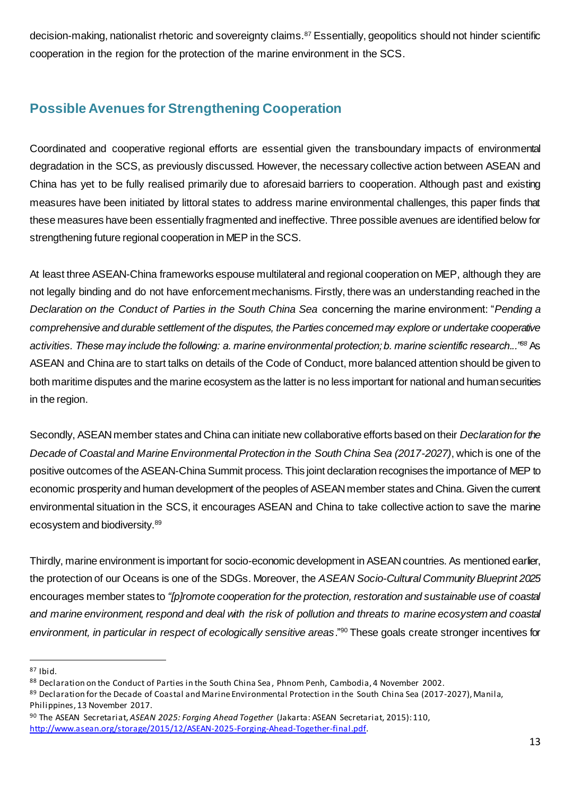decision-making, nationalist rhetoric and sovereignty claims.<sup>87</sup> Essentially, geopolitics should not hinder scientific cooperation in the region for the protection of the marine environment in the SCS.

# <span id="page-12-0"></span>**Possible Avenues for Strengthening Cooperation**

Coordinated and cooperative regional efforts are essential given the transboundary impacts of environmental degradation in the SCS, as previously discussed. However, the necessary collective action between ASEAN and China has yet to be fully realised primarily due to aforesaid barriers to cooperation. Although past and existing measures have been initiated by littoral states to address marine environmental challenges, this paper finds that these measures have been essentially fragmented and ineffective. Three possible avenues are identified below for strengthening future regional cooperation in MEP in the SCS.

At least three ASEAN-China frameworks espouse multilateral and regional cooperation on MEP, although they are not legally binding and do not have enforcement mechanisms. Firstly, there was an understanding reached in the *Declaration on the Conduct of Parties in the South China Sea* concerning the marine environment: "*Pending a comprehensive and durable settlement of the disputes, the Parties concerned may explore or undertake cooperative activities. These may include the following: a. marine environmental protection; b. marine scientific research..."<sup>88</sup>* As ASEAN and China are to start talks on details of the Code of Conduct, more balanced attention should be given to both maritime disputes and the marine ecosystem as the latter is no less important for national and human securities in the region.

Secondly, ASEAN member states and China can initiate new collaborative efforts based on their *Declaration for the Decade of Coastal and Marine Environmental Protection in the South China Sea (2017-2027)*, which is one of the positive outcomes of the ASEAN-China Summit process. This joint declaration recognises the importance of MEP to economic prosperity and human development of the peoples of ASEAN member states and China. Given the current environmental situation in the SCS, it encourages ASEAN and China to take collective action to save the marine ecosystem and biodiversity.<sup>89</sup>

Thirdly, marine environment is important for socio-economic development in ASEAN countries. As mentioned earlier, the protection of our Oceans is one of the SDGs. Moreover, the *ASEAN Socio-Cultural Community Blueprint 2025* encourages member states to *"[p]romote cooperation for the protection, restoration and sustainable use of coastal and marine environment, respond and deal with the risk of pollution and threats to marine ecosystem and coastal environment, in particular in respect of ecologically sensitive areas*." <sup>90</sup> These goals create stronger incentives for

<sup>87</sup> Ibid.

<sup>88</sup> Declaration on the Conduct of Parties in the South China Sea, Phnom Penh, Cambodia, 4 November 2002.

<sup>89</sup> Declaration for the Decade of Coastal and Marine Environmental Protection in the South China Sea (2017-2027), Manila, Philippines, 13 November 2017.

<sup>90</sup> The ASEAN Secretariat, *ASEAN 2025: Forging Ahead Together* (Jakarta: ASEAN Secretariat, 2015): 110, [http://www.asean.org/storage/2015/12/ASEAN-2025-Forging-Ahead-Together-final.pdf.](http://www.asean.org/storage/2015/12/ASEAN-2025-Forging-Ahead-Together-final.pdf)